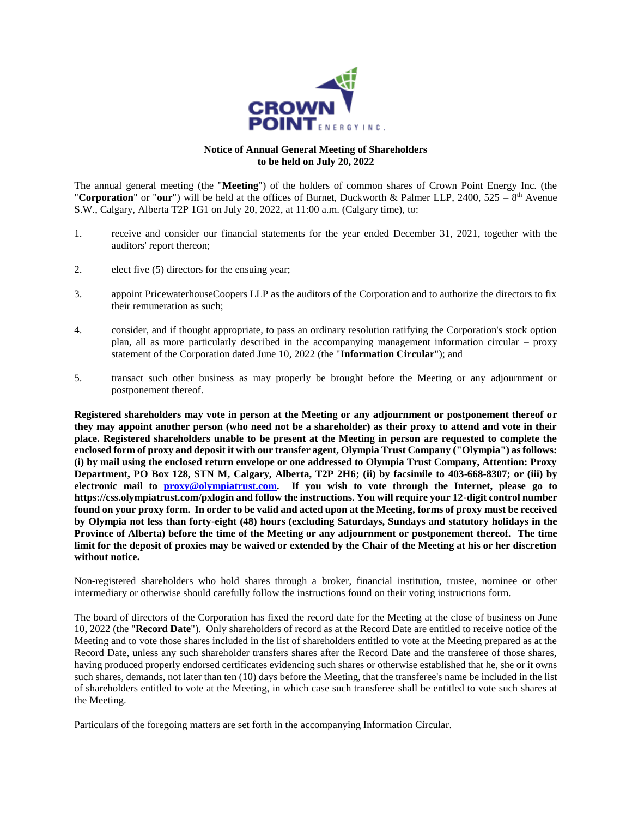

## **Notice of Annual General Meeting of Shareholders to be held on July 20, 2022**

The annual general meeting (the "**Meeting**") of the holders of common shares of Crown Point Energy Inc. (the "**Corporation**" or "our") will be held at the offices of Burnet, Duckworth & Palmer LLP, 2400, 525 –  $8<sup>th</sup>$  Avenue S.W., Calgary, Alberta T2P 1G1 on July 20, 2022, at 11:00 a.m. (Calgary time), to:

- 1. receive and consider our financial statements for the year ended December 31, 2021, together with the auditors' report thereon;
- 2. elect five (5) directors for the ensuing year;
- 3. appoint PricewaterhouseCoopers LLP as the auditors of the Corporation and to authorize the directors to fix their remuneration as such;
- 4. consider, and if thought appropriate, to pass an ordinary resolution ratifying the Corporation's stock option plan, all as more particularly described in the accompanying management information circular – proxy statement of the Corporation dated June 10, 2022 (the "**Information Circular**"); and
- 5. transact such other business as may properly be brought before the Meeting or any adjournment or postponement thereof.

**Registered shareholders may vote in person at the Meeting or any adjournment or postponement thereof or they may appoint another person (who need not be a shareholder) as their proxy to attend and vote in their place. Registered shareholders unable to be present at the Meeting in person are requested to complete the enclosed form of proxy and deposit it with our transfer agent, Olympia Trust Company ("Olympia") as follows: (i) by mail using the enclosed return envelope or one addressed to Olympia Trust Company, Attention: Proxy Department, PO Box 128, STN M, Calgary, Alberta, T2P 2H6; (ii) by facsimile to 403-668-8307; or (iii) by electronic mail to [proxy@olympiatrust.com.](mailto:proxy@olympiatrust.com) If you wish to vote through the Internet, please go to https://css.olympiatrust.com/pxlogin and follow the instructions. You will require your 12-digit control number found on your proxy form. In order to be valid and acted upon at the Meeting, forms of proxy must be received by Olympia not less than forty-eight (48) hours (excluding Saturdays, Sundays and statutory holidays in the Province of Alberta) before the time of the Meeting or any adjournment or postponement thereof. The time limit for the deposit of proxies may be waived or extended by the Chair of the Meeting at his or her discretion without notice.**

Non-registered shareholders who hold shares through a broker, financial institution, trustee, nominee or other intermediary or otherwise should carefully follow the instructions found on their voting instructions form.

The board of directors of the Corporation has fixed the record date for the Meeting at the close of business on June 10, 2022 (the "**Record Date**"). Only shareholders of record as at the Record Date are entitled to receive notice of the Meeting and to vote those shares included in the list of shareholders entitled to vote at the Meeting prepared as at the Record Date, unless any such shareholder transfers shares after the Record Date and the transferee of those shares, having produced properly endorsed certificates evidencing such shares or otherwise established that he, she or it owns such shares, demands, not later than ten (10) days before the Meeting, that the transferee's name be included in the list of shareholders entitled to vote at the Meeting, in which case such transferee shall be entitled to vote such shares at the Meeting.

Particulars of the foregoing matters are set forth in the accompanying Information Circular.